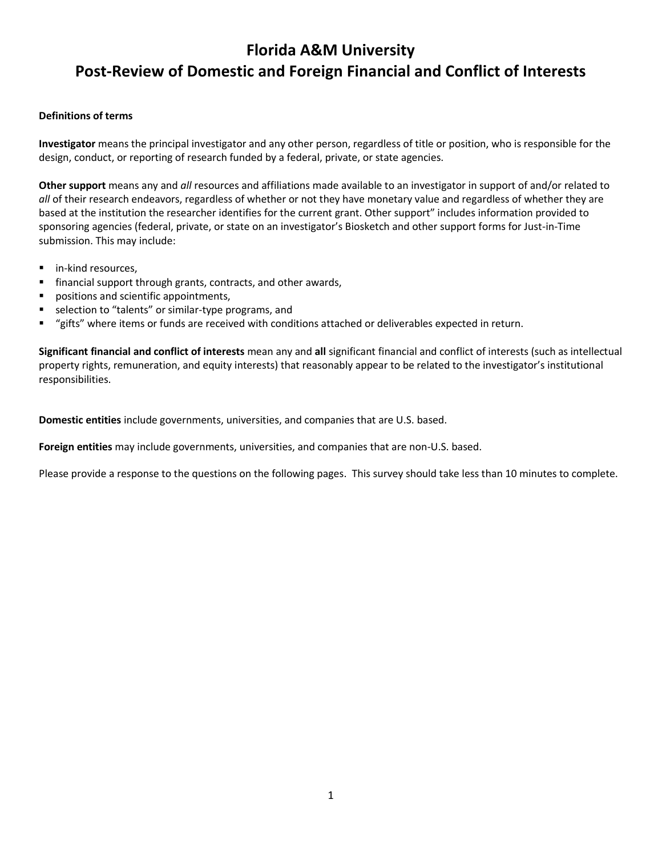# **Florida A&M University Post-Review of Domestic and Foreign Financial and Conflict of Interests**

#### **Definitions of terms**

**Investigator** means the principal investigator and any other person, regardless of title or position, who is responsible for the design, conduct, or reporting of research funded by a federal, private, or state agencies.

**Other support** means any and *all* resources and affiliations made available to an investigator in support of and/or related to *all* of their research endeavors, regardless of whether or not they have monetary value and regardless of whether they are based at the institution the researcher identifies for the current grant. Other support" includes information provided to sponsoring agencies (federal, private, or state on an investigator's Biosketch and other support forms for Just-in-Time submission. This may include:

- in-kind resources,
- financial support through grants, contracts, and other awards,
- positions and scientific appointments,
- selection to "talents" or similar-type programs, and
- "gifts" where items or funds are received with conditions attached or deliverables expected in return.

**Significant financial and conflict of interests** mean any and **all** significant financial and conflict of interests (such as intellectual property rights, remuneration, and equity interests) that reasonably appear to be related to the investigator's institutional responsibilities.

**Domestic entities** include governments, universities, and companies that are U.S. based.

**Foreign entities** may include governments, universities, and companies that are non-U.S. based.

Please provide a response to the questions on the following pages. This survey should take less than 10 minutes to complete.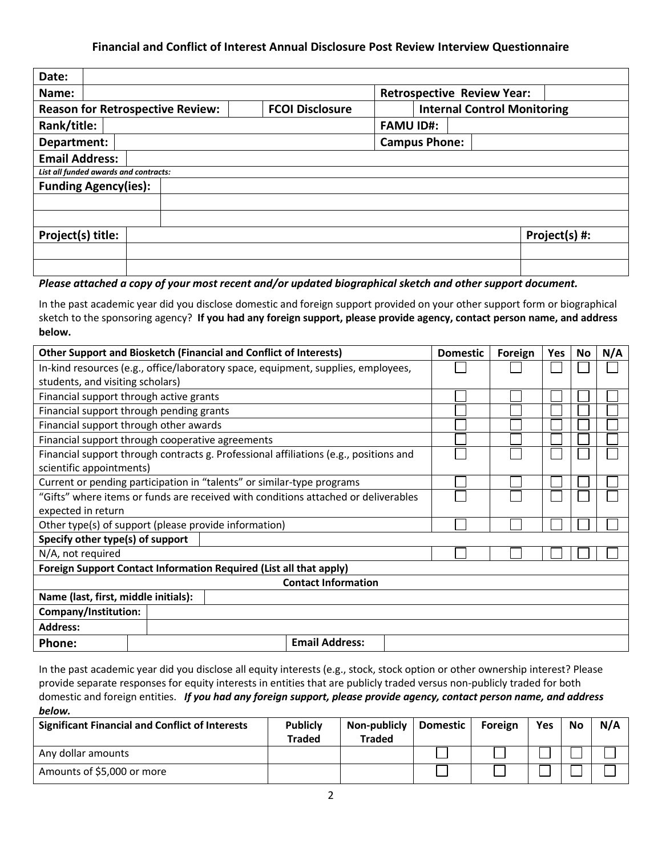### **Financial and Conflict of Interest Annual Disclosure Post Review Interview Questionnaire**

| Date:                                   |                        |                                    |               |
|-----------------------------------------|------------------------|------------------------------------|---------------|
| Name:                                   |                        | <b>Retrospective Review Year:</b>  |               |
| <b>Reason for Retrospective Review:</b> | <b>FCOI Disclosure</b> | <b>Internal Control Monitoring</b> |               |
| Rank/title:                             |                        | <b>FAMU ID#:</b>                   |               |
| Department:                             |                        | <b>Campus Phone:</b>               |               |
| <b>Email Address:</b>                   |                        |                                    |               |
| List all funded awards and contracts:   |                        |                                    |               |
| <b>Funding Agency(ies):</b>             |                        |                                    |               |
|                                         |                        |                                    |               |
|                                         |                        |                                    |               |
| Project(s) title:                       |                        |                                    | Project(s) #: |
|                                         |                        |                                    |               |
|                                         |                        |                                    |               |

## *Please attached a copy of your most recent and/or updated biographical sketch and other support document.*

In the past academic year did you disclose domestic and foreign support provided on your other support form or biographical sketch to the sponsoring agency? **If you had any foreign support, please provide agency, contact person name, and address below.**

| <b>Other Support and Biosketch (Financial and Conflict of Interests)</b>           |                                                                                   |  |                                                                                       |  | <b>Domestic</b> | Foreign | Yes | No. | N/A |
|------------------------------------------------------------------------------------|-----------------------------------------------------------------------------------|--|---------------------------------------------------------------------------------------|--|-----------------|---------|-----|-----|-----|
|                                                                                    | In-kind resources (e.g., office/laboratory space, equipment, supplies, employees, |  |                                                                                       |  |                 |         |     |     |     |
| students, and visiting scholars)                                                   |                                                                                   |  |                                                                                       |  |                 |         |     |     |     |
| Financial support through active grants                                            |                                                                                   |  |                                                                                       |  |                 |         |     |     |     |
| Financial support through pending grants                                           |                                                                                   |  |                                                                                       |  |                 |         |     |     |     |
| Financial support through other awards                                             |                                                                                   |  |                                                                                       |  |                 |         |     |     |     |
| Financial support through cooperative agreements                                   |                                                                                   |  |                                                                                       |  |                 |         |     |     |     |
|                                                                                    |                                                                                   |  | Financial support through contracts g. Professional affiliations (e.g., positions and |  |                 |         |     |     |     |
| scientific appointments)                                                           |                                                                                   |  |                                                                                       |  |                 |         |     |     |     |
| Current or pending participation in "talents" or similar-type programs             |                                                                                   |  |                                                                                       |  |                 |         |     |     |     |
| "Gifts" where items or funds are received with conditions attached or deliverables |                                                                                   |  |                                                                                       |  |                 |         |     |     |     |
| expected in return                                                                 |                                                                                   |  |                                                                                       |  |                 |         |     |     |     |
| Other type(s) of support (please provide information)                              |                                                                                   |  |                                                                                       |  |                 |         |     |     |     |
| Specify other type(s) of support                                                   |                                                                                   |  |                                                                                       |  |                 |         |     |     |     |
| N/A, not required                                                                  |                                                                                   |  |                                                                                       |  |                 |         |     |     |     |
| Foreign Support Contact Information Required (List all that apply)                 |                                                                                   |  |                                                                                       |  |                 |         |     |     |     |
|                                                                                    |                                                                                   |  | <b>Contact Information</b>                                                            |  |                 |         |     |     |     |
| Name (last, first, middle initials):                                               |                                                                                   |  |                                                                                       |  |                 |         |     |     |     |
| Company/Institution:                                                               |                                                                                   |  |                                                                                       |  |                 |         |     |     |     |
| <b>Address:</b>                                                                    |                                                                                   |  |                                                                                       |  |                 |         |     |     |     |
| <b>Phone:</b>                                                                      |                                                                                   |  | <b>Email Address:</b>                                                                 |  |                 |         |     |     |     |

In the past academic year did you disclose all equity interests (e.g., stock, stock option or other ownership interest? Please provide separate responses for equity interests in entities that are publicly traded versus non-publicly traded for both domestic and foreign entities. *If you had any foreign support, please provide agency, contact person name, and address below.*

| <b>Significant Financial and Conflict of Interests</b> | <b>Publicly</b><br>Traded | Non-publicly<br><b>Traded</b> | Domestic | Foreign | Yes | No | N/A |
|--------------------------------------------------------|---------------------------|-------------------------------|----------|---------|-----|----|-----|
| Any dollar amounts                                     |                           |                               |          |         |     |    |     |
| Amounts of \$5,000 or more                             |                           |                               |          |         |     |    |     |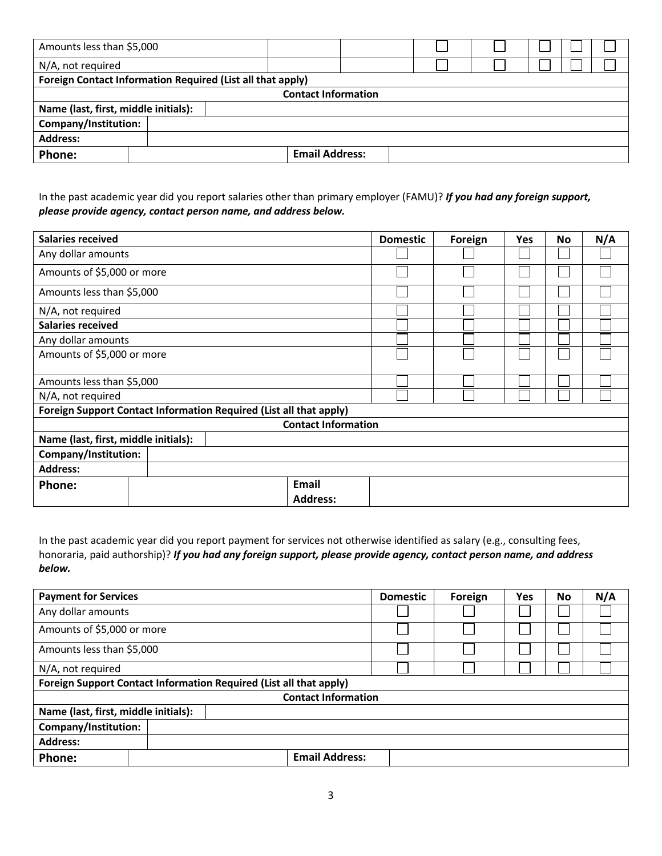| Amounts less than \$5,000            |                                                            |  |                       |  |  |  |  |  |
|--------------------------------------|------------------------------------------------------------|--|-----------------------|--|--|--|--|--|
| N/A, not required                    |                                                            |  |                       |  |  |  |  |  |
|                                      | Foreign Contact Information Required (List all that apply) |  |                       |  |  |  |  |  |
| <b>Contact Information</b>           |                                                            |  |                       |  |  |  |  |  |
| Name (last, first, middle initials): |                                                            |  |                       |  |  |  |  |  |
| Company/Institution:                 |                                                            |  |                       |  |  |  |  |  |
| <b>Address:</b>                      |                                                            |  |                       |  |  |  |  |  |
| Phone:                               |                                                            |  | <b>Email Address:</b> |  |  |  |  |  |

In the past academic year did you report salaries other than primary employer (FAMU)? *If you had any foreign support, please provide agency, contact person name, and address below.*

| <b>Salaries received</b>             |                                                                    |                                 | <b>Domestic</b> | Foreign | Yes | No | N/A |
|--------------------------------------|--------------------------------------------------------------------|---------------------------------|-----------------|---------|-----|----|-----|
| Any dollar amounts                   |                                                                    |                                 |                 |         |     |    |     |
| Amounts of \$5,000 or more           |                                                                    |                                 |                 |         |     |    |     |
| Amounts less than \$5,000            |                                                                    |                                 |                 |         |     |    |     |
| N/A, not required                    |                                                                    |                                 |                 |         |     |    |     |
| <b>Salaries received</b>             |                                                                    |                                 |                 |         |     |    |     |
| Any dollar amounts                   |                                                                    |                                 |                 |         |     |    |     |
| Amounts of \$5,000 or more           |                                                                    |                                 |                 |         |     |    |     |
| Amounts less than \$5,000            |                                                                    |                                 |                 |         |     |    |     |
| N/A, not required                    |                                                                    |                                 |                 |         |     |    |     |
|                                      | Foreign Support Contact Information Required (List all that apply) |                                 |                 |         |     |    |     |
|                                      |                                                                    | <b>Contact Information</b>      |                 |         |     |    |     |
| Name (last, first, middle initials): |                                                                    |                                 |                 |         |     |    |     |
| Company/Institution:                 |                                                                    |                                 |                 |         |     |    |     |
| <b>Address:</b>                      |                                                                    |                                 |                 |         |     |    |     |
| Phone:                               |                                                                    | <b>Email</b><br><b>Address:</b> |                 |         |     |    |     |

In the past academic year did you report payment for services not otherwise identified as salary (e.g., consulting fees, honoraria, paid authorship)? *If you had any foreign support, please provide agency, contact person name, and address below.*

| <b>Payment for Services</b>          |  |                                                                    | <b>Domestic</b> | Foreign | Yes | No | N/A |
|--------------------------------------|--|--------------------------------------------------------------------|-----------------|---------|-----|----|-----|
| Any dollar amounts                   |  |                                                                    |                 |         |     |    |     |
| Amounts of \$5,000 or more           |  |                                                                    |                 |         |     |    |     |
| Amounts less than \$5,000            |  |                                                                    |                 |         |     |    |     |
| N/A, not required                    |  |                                                                    |                 |         |     |    |     |
|                                      |  | Foreign Support Contact Information Required (List all that apply) |                 |         |     |    |     |
|                                      |  | <b>Contact Information</b>                                         |                 |         |     |    |     |
| Name (last, first, middle initials): |  |                                                                    |                 |         |     |    |     |
| Company/Institution:                 |  |                                                                    |                 |         |     |    |     |
| <b>Address:</b>                      |  |                                                                    |                 |         |     |    |     |
| Phone:                               |  | <b>Email Address:</b>                                              |                 |         |     |    |     |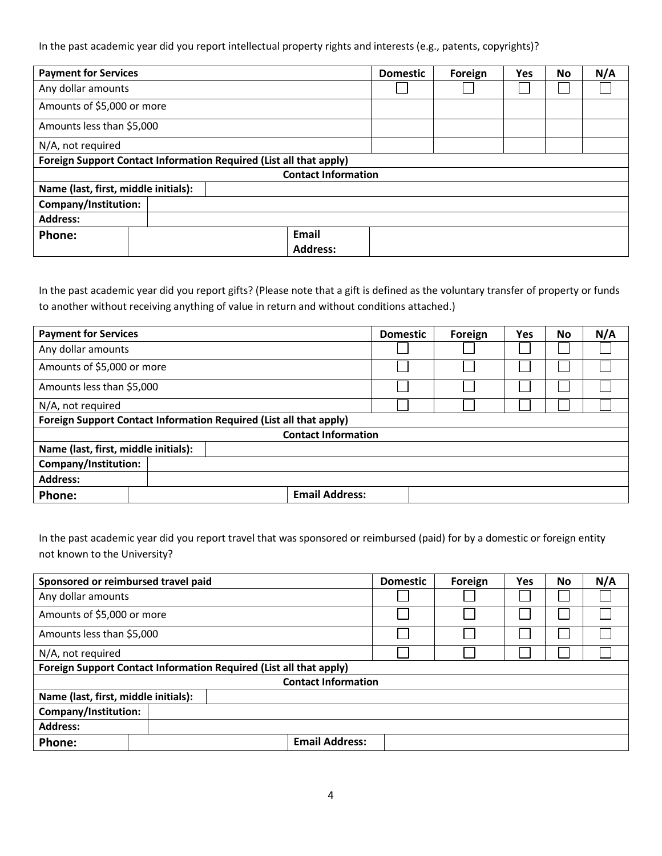In the past academic year did you report intellectual property rights and interests (e.g., patents, copyrights)?

| <b>Payment for Services</b>                                        |  | <b>Domestic</b> | Foreign                    | Yes | No | N/A |  |  |
|--------------------------------------------------------------------|--|-----------------|----------------------------|-----|----|-----|--|--|
| Any dollar amounts                                                 |  |                 |                            |     |    |     |  |  |
| Amounts of \$5,000 or more                                         |  |                 |                            |     |    |     |  |  |
| Amounts less than \$5,000                                          |  |                 |                            |     |    |     |  |  |
| N/A, not required                                                  |  |                 |                            |     |    |     |  |  |
| Foreign Support Contact Information Required (List all that apply) |  |                 |                            |     |    |     |  |  |
|                                                                    |  |                 | <b>Contact Information</b> |     |    |     |  |  |
| Name (last, first, middle initials):                               |  |                 |                            |     |    |     |  |  |
| Company/Institution:                                               |  |                 |                            |     |    |     |  |  |
| <b>Address:</b>                                                    |  |                 |                            |     |    |     |  |  |
| Phone:                                                             |  |                 | <b>Email</b>               |     |    |     |  |  |
|                                                                    |  |                 | <b>Address:</b>            |     |    |     |  |  |

In the past academic year did you report gifts? (Please note that a gift is defined as the voluntary transfer of property or funds to another without receiving anything of value in return and without conditions attached.)

| <b>Payment for Services</b>          |  |                                                                    | <b>Domestic</b> | Foreign | Yes | No | N/A |
|--------------------------------------|--|--------------------------------------------------------------------|-----------------|---------|-----|----|-----|
| Any dollar amounts                   |  |                                                                    |                 |         |     |    |     |
| Amounts of \$5,000 or more           |  |                                                                    |                 |         |     |    |     |
| Amounts less than \$5,000            |  |                                                                    |                 |         |     |    |     |
| N/A, not required                    |  |                                                                    |                 |         |     |    |     |
|                                      |  | Foreign Support Contact Information Required (List all that apply) |                 |         |     |    |     |
|                                      |  | <b>Contact Information</b>                                         |                 |         |     |    |     |
| Name (last, first, middle initials): |  |                                                                    |                 |         |     |    |     |
| Company/Institution:                 |  |                                                                    |                 |         |     |    |     |
| <b>Address:</b>                      |  |                                                                    |                 |         |     |    |     |
| Phone:                               |  | <b>Email Address:</b>                                              |                 |         |     |    |     |

In the past academic year did you report travel that was sponsored or reimbursed (paid) for by a domestic or foreign entity not known to the University?

| Sponsored or reimbursed travel paid  |                                                                    | <b>Domestic</b> | Foreign | Yes | <b>No</b> | N/A |
|--------------------------------------|--------------------------------------------------------------------|-----------------|---------|-----|-----------|-----|
| Any dollar amounts                   |                                                                    |                 |         |     |           |     |
| Amounts of \$5,000 or more           |                                                                    |                 |         |     |           |     |
| Amounts less than \$5,000            |                                                                    |                 |         |     |           |     |
| N/A, not required                    |                                                                    |                 |         |     |           |     |
|                                      | Foreign Support Contact Information Required (List all that apply) |                 |         |     |           |     |
|                                      | <b>Contact Information</b>                                         |                 |         |     |           |     |
| Name (last, first, middle initials): |                                                                    |                 |         |     |           |     |
| Company/Institution:                 |                                                                    |                 |         |     |           |     |
| <b>Address:</b>                      |                                                                    |                 |         |     |           |     |
| Phone:                               | <b>Email Address:</b>                                              |                 |         |     |           |     |